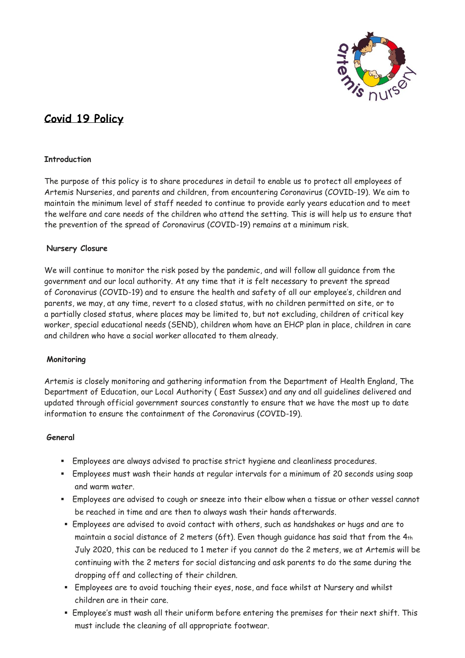

# **Covid 19 Policy**

## **Introduction**

The purpose of this policy is to share procedures in detail to enable us to protect all employees of Artemis Nurseries, and parents and children, from encountering Coronavirus (COVID-19). We aim to maintain the minimum level of staff needed to continue to provide early years education and to meet the welfare and care needs of the children who attend the setting. This is will help us to ensure that the prevention of the spread of Coronavirus (COVID-19) remains at a minimum risk.

## **Nursery Closure**

We will continue to monitor the risk posed by the pandemic, and will follow all guidance from the government and our local authority. At any time that it is felt necessary to prevent the spread of Coronavirus (COVID-19) and to ensure the health and safety of all our employee's, children and parents, we may, at any time, revert to a closed status, with no children permitted on site, or to a partially closed status, where places may be limited to, but not excluding, children of critical key worker, special educational needs (SEND), children whom have an EHCP plan in place, children in care and children who have a social worker allocated to them already.

## **Monitoring**

Artemis is closely monitoring and gathering information from the Department of Health England, The Department of Education, our Local Authority ( East Sussex) and any and all guidelines delivered and updated through official government sources constantly to ensure that we have the most up to date information to ensure the containment of the Coronavirus (COVID-19).

## **General**

- Employees are always advised to practise strict hygiene and cleanliness procedures.
- **Employees must wash their hands at regular intervals for a minimum of 20 seconds using soap** and warm water.
- Employees are advised to cough or sneeze into their elbow when a tissue or other vessel cannot be reached in time and are then to always wash their hands afterwards.
- Employees are advised to avoid contact with others, such as handshakes or hugs and are to maintain a social distance of 2 meters (6ft). Even though guidance has said that from the 4th July 2020, this can be reduced to 1 meter if you cannot do the 2 meters, we at Artemis will be continuing with the 2 meters for social distancing and ask parents to do the same during the dropping off and collecting of their children.
- Employees are to avoid touching their eyes, nose, and face whilst at Nursery and whilst children are in their care.
- Employee's must wash all their uniform before entering the premises for their next shift. This must include the cleaning of all appropriate footwear.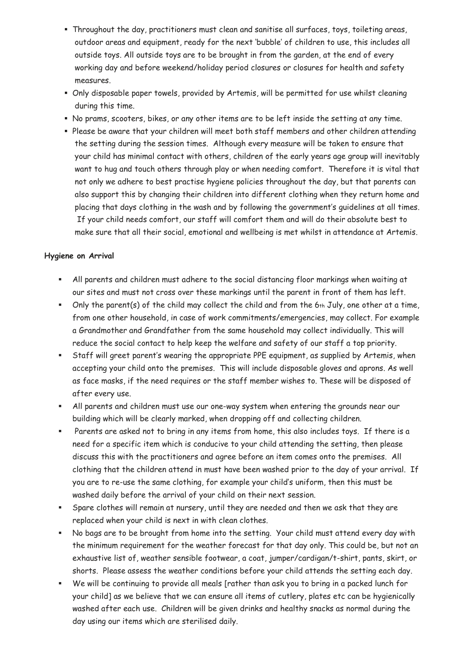- Throughout the day, practitioners must clean and sanitise all surfaces, toys, toileting areas, outdoor areas and equipment, ready for the next 'bubble' of children to use, this includes all outside toys. All outside toys are to be brought in from the garden, at the end of every working day and before weekend/holiday period closures or closures for health and safety measures.
- Only disposable paper towels, provided by Artemis, will be permitted for use whilst cleaning during this time.
- No prams, scooters, bikes, or any other items are to be left inside the setting at any time.
- Please be aware that your children will meet both staff members and other children attending the setting during the session times. Although every measure will be taken to ensure that your child has minimal contact with others, children of the early years age group will inevitably want to hug and touch others through play or when needing comfort. Therefore it is vital that not only we adhere to best practise hygiene policies throughout the day, but that parents can also support this by changing their children into different clothing when they return home and placing that days clothing in the wash and by following the government's guidelines at all times. If your child needs comfort, our staff will comfort them and will do their absolute best to make sure that all their social, emotional and wellbeing is met whilst in attendance at Artemis.

## **Hygiene on Arrival**

- All parents and children must adhere to the social distancing floor markings when waiting at our sites and must not cross over these markings until the parent in front of them has left.
- Only the parent(s) of the child may collect the child and from the 6th July, one other at a time, from one other household, in case of work commitments/emergencies, may collect. For example a Grandmother and Grandfather from the same household may collect individually. This will reduce the social contact to help keep the welfare and safety of our staff a top priority.
- **EXECT:** Staff will greet parent's wearing the appropriate PPE equipment, as supplied by Artemis, when accepting your child onto the premises. This will include disposable gloves and aprons. As well as face masks, if the need requires or the staff member wishes to. These will be disposed of after every use.
- **E** All parents and children must use our one-way system when entering the grounds near our building which will be clearly marked, when dropping off and collecting children.
- Parents are asked not to bring in any items from home, this also includes toys. If there is a need for a specific item which is conducive to your child attending the setting, then please discuss this with the practitioners and agree before an item comes onto the premises. All clothing that the children attend in must have been washed prior to the day of your arrival. If you are to re-use the same clothing, for example your child's uniform, then this must be washed daily before the arrival of your child on their next session.
- Spare clothes will remain at nursery, until they are needed and then we ask that they are replaced when your child is next in with clean clothes.
- No bags are to be brought from home into the setting. Your child must attend every day with the minimum requirement for the weather forecast for that day only. This could be, but not an exhaustive list of, weather sensible footwear, a coat, jumper/cardigan/t-shirt, pants, skirt, or shorts. Please assess the weather conditions before your child attends the setting each day.
- We will be continuing to provide all meals [rather than ask you to bring in a packed lunch for your child] as we believe that we can ensure all items of cutlery, plates etc can be hygienically washed after each use. Children will be given drinks and healthy snacks as normal during the day using our items which are sterilised daily.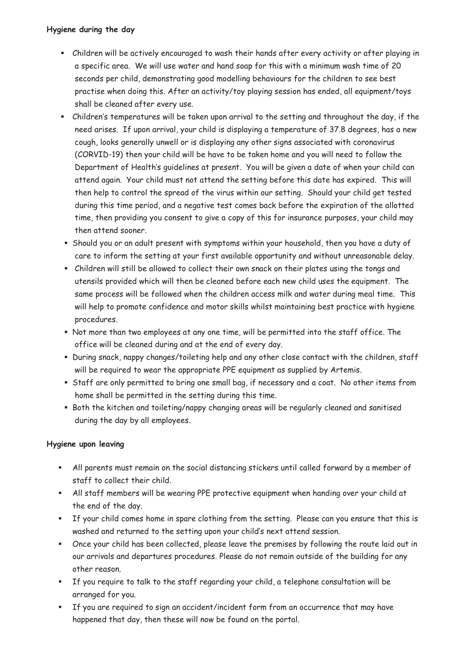## **Hygiene during the day**

- Children will be actively encouraged to wash their hands after every activity or after playing in a specific area. We will use water and hand soap for this with a minimum wash time of 20 seconds per child, demonstrating good modelling behaviours for the children to see best practise when doing this. After an activity/toy playing session has ended, all equipment/toys shall be cleaned after every use.
- Children's temperatures will be taken upon arrival to the setting and throughout the day, if the need arises. If upon arrival, your child is displaying a temperature of 37.8 degrees, has a new cough, looks generally unwell or is displaying any other signs associated with coronavirus (CORVID-19) then your child will be have to be taken home and you will need to follow the Department of Health's guidelines at present. You will be given a date of when your child can attend again. Your child must not attend the setting before this date has expired. This will then help to control the spread of the virus within our setting. Should your child get tested during this time period, and a negative test comes back before the expiration of the allotted time, then providing you consent to give a copy of this for insurance purposes, your child may then attend sooner.
- **E** Should you or an adult present with symptoms within your household, then you have a duty of care to inform the setting at your first available opportunity and without unreasonable delay.
- Children will still be allowed to collect their own snack on their plates using the tongs and utensils provided which will then be cleaned before each new child uses the equipment. The same process will be followed when the children access milk and water during meal time. This will help to promote confidence and motor skills whilst maintaining best practice with hygiene procedures.
- Not more than two employees at any one time, will be permitted into the staff office. The office will be cleaned during and at the end of every day.
- During snack, nappy changes/toileting help and any other close contact with the children, staff will be required to wear the appropriate PPE equipment as supplied by Artemis.
- Staff are only permitted to bring one small bag, if necessary and a coat. No other items from home shall be permitted in the setting during this time.
- Both the kitchen and toileting/nappy changing areas will be regularly cleaned and sanitised during the day by all employees.

## **Hygiene upon leaving**

- All parents must remain on the social distancing stickers until called forward by a member of staff to collect their child.
- All staff members will be wearing PPE protective equipment when handing over your child at the end of the day.
- If your child comes home in spare clothing from the setting. Please can you ensure that this is washed and returned to the setting upon your child's next attend session.
- Once your child has been collected, please leave the premises by following the route laid out in our arrivals and departures procedures. Please do not remain outside of the building for any other reason.
- If you require to talk to the staff regarding your child, a telephone consultation will be arranged for you.
- If you are required to sign an accident/incident form from an occurrence that may have happened that day, then these will now be found on the portal.